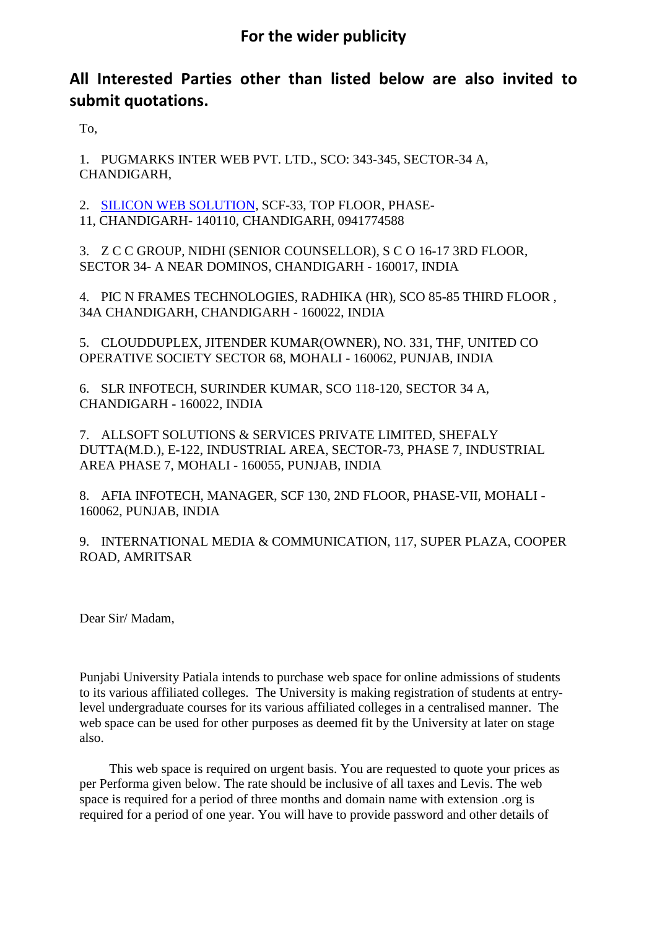## **All Interested Parties other than listed below are also invited to submit quotations.**

To,

1. PUGMARKS INTER WEB PVT. LTD., SCO: 343-345, SECTOR-34 A, CHANDIGARH,

2. [SILICON WEB SOLUTION,](https://www.indiamart.com/silicon-websolution/) SCF-33, TOP FLOOR, PHASE-11, CHANDIGARH- 140110, CHANDIGARH, 0941774588

3. Z C C GROUP, NIDHI (SENIOR COUNSELLOR), S C O 16-17 3RD FLOOR, SECTOR 34- A NEAR DOMINOS, CHANDIGARH - 160017, INDIA

4. PIC N FRAMES TECHNOLOGIES, RADHIKA (HR), SCO 85-85 THIRD FLOOR , 34A CHANDIGARH, CHANDIGARH - 160022, INDIA

5. CLOUDDUPLEX, JITENDER KUMAR(OWNER), NO. 331, THF, UNITED CO OPERATIVE SOCIETY SECTOR 68, MOHALI - 160062, PUNJAB, INDIA

6. SLR INFOTECH, SURINDER KUMAR, SCO 118-120, SECTOR 34 A, CHANDIGARH - 160022, INDIA

7. ALLSOFT SOLUTIONS & SERVICES PRIVATE LIMITED, SHEFALY DUTTA(M.D.), E-122, INDUSTRIAL AREA, SECTOR-73, PHASE 7, INDUSTRIAL AREA PHASE 7, MOHALI - 160055, PUNJAB, INDIA

8. AFIA INFOTECH, MANAGER, SCF 130, 2ND FLOOR, PHASE-VII, MOHALI - 160062, PUNJAB, INDIA

9. INTERNATIONAL MEDIA & COMMUNICATION, 117, SUPER PLAZA, COOPER ROAD, AMRITSAR

Dear Sir/ Madam,

Punjabi University Patiala intends to purchase web space for online admissions of students to its various affiliated colleges. The University is making registration of students at entrylevel undergraduate courses for its various affiliated colleges in a centralised manner. The web space can be used for other purposes as deemed fit by the University at later on stage also.

 This web space is required on urgent basis. You are requested to quote your prices as per Performa given below. The rate should be inclusive of all taxes and Levis. The web space is required for a period of three months and domain name with extension .org is required for a period of one year. You will have to provide password and other details of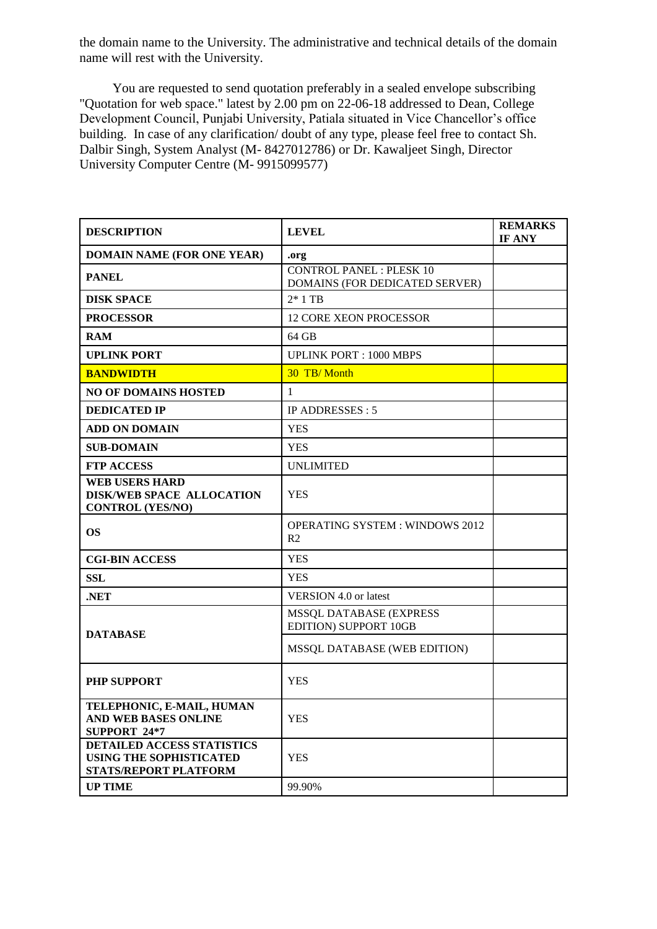the domain name to the University. The administrative and technical details of the domain name will rest with the University.

 You are requested to send quotation preferably in a sealed envelope subscribing "Quotation for web space." latest by 2.00 pm on 22-06-18 addressed to Dean, College Development Council, Punjabi University, Patiala situated in Vice Chancellor's office building. In case of any clarification/ doubt of any type, please feel free to contact Sh. Dalbir Singh, System Analyst (M- 8427012786) or Dr. Kawaljeet Singh, Director University Computer Centre (M- 9915099577)

| <b>DESCRIPTION</b>                                                                    | <b>LEVEL</b>                                                      | <b>REMARKS</b><br>IF ANY |
|---------------------------------------------------------------------------------------|-------------------------------------------------------------------|--------------------------|
| <b>DOMAIN NAME (FOR ONE YEAR)</b>                                                     | .org                                                              |                          |
| <b>PANEL</b>                                                                          | <b>CONTROL PANEL : PLESK 10</b><br>DOMAINS (FOR DEDICATED SERVER) |                          |
| <b>DISK SPACE</b>                                                                     | $2*1$ TB                                                          |                          |
| <b>PROCESSOR</b>                                                                      | <b>12 CORE XEON PROCESSOR</b>                                     |                          |
| <b>RAM</b>                                                                            | $64$ GB                                                           |                          |
| <b>UPLINK PORT</b>                                                                    | <b>UPLINK PORT: 1000 MBPS</b>                                     |                          |
| <b>BANDWIDTH</b>                                                                      | 30 TB/Month                                                       |                          |
| <b>NO OF DOMAINS HOSTED</b>                                                           | 1                                                                 |                          |
| <b>DEDICATED IP</b>                                                                   | IP ADDRESSES: 5                                                   |                          |
| <b>ADD ON DOMAIN</b>                                                                  | <b>YES</b>                                                        |                          |
| <b>SUB-DOMAIN</b>                                                                     | <b>YES</b>                                                        |                          |
| <b>FTP ACCESS</b>                                                                     | <b>UNLIMITED</b>                                                  |                          |
| <b>WEB USERS HARD</b><br><b>DISK/WEB SPACE ALLOCATION</b><br><b>CONTROL (YES/NO)</b>  | <b>YES</b>                                                        |                          |
| <b>OS</b>                                                                             | <b>OPERATING SYSTEM: WINDOWS 2012</b><br>R <sub>2</sub>           |                          |
| <b>CGI-BIN ACCESS</b>                                                                 | YES                                                               |                          |
| <b>SSL</b>                                                                            | <b>YES</b>                                                        |                          |
| .NET                                                                                  | <b>VERSION 4.0 or latest</b>                                      |                          |
| <b>DATABASE</b>                                                                       | <b>MSSQL DATABASE (EXPRESS)</b><br>EDITION) SUPPORT 10GB          |                          |
|                                                                                       | MSSQL DATABASE (WEB EDITION)                                      |                          |
| <b>PHP SUPPORT</b>                                                                    | <b>YES</b>                                                        |                          |
| TELEPHONIC, E-MAIL, HUMAN<br><b>AND WEB BASES ONLINE</b><br>SUPPORT 24*7              | <b>YES</b>                                                        |                          |
| DETAILED ACCESS STATISTICS<br><b>USING THE SOPHISTICATED</b><br>STATS/REPORT PLATFORM | <b>YES</b>                                                        |                          |
| <b>UP TIME</b>                                                                        | 99.90%                                                            |                          |